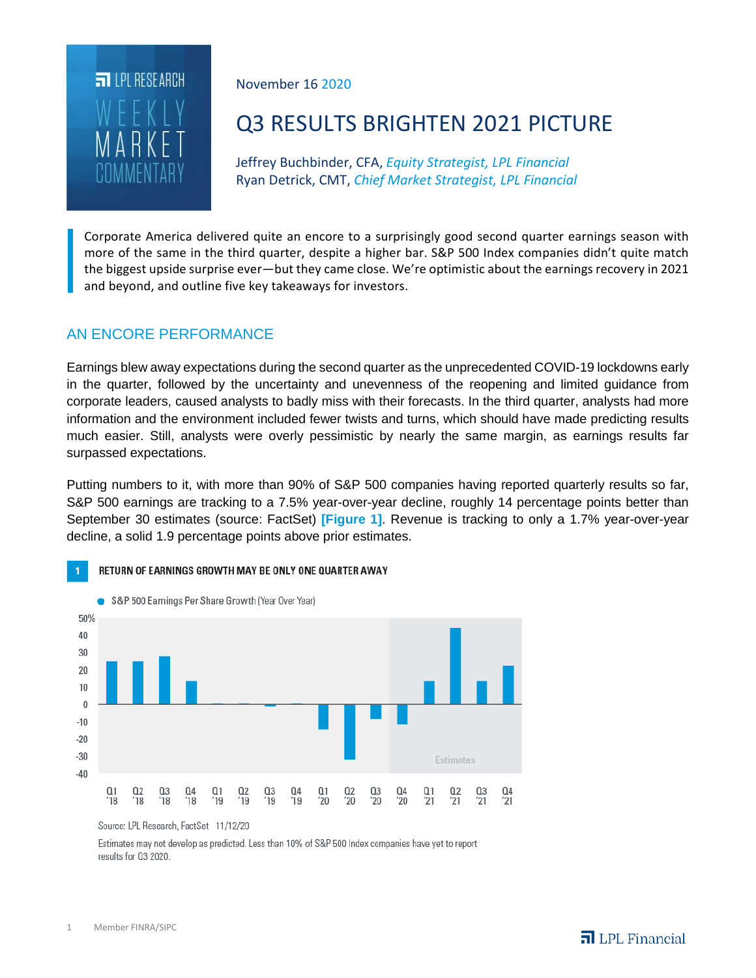

November 16 2020

# Q3 RESULTS BRIGHTEN 2021 PICTURE

Jeffrey Buchbinder, CFA, *Equity Strategist, LPL Financial* Ryan Detrick, CMT, *Chief Market Strategist, LPL Financial*

Corporate America delivered quite an encore to a surprisingly good second quarter earnings season with more of the same in the third quarter, despite a higher bar. S&P 500 Index companies didn't quite match the biggest upside surprise ever—but they came close. We're optimistic about the earnings recovery in 2021 and beyond, and outline five key takeaways for investors.

## AN ENCORE PERFORMANCE

Earnings blew away expectations during the second quarter as the unprecedented COVID-19 lockdowns early in the quarter, followed by the uncertainty and unevenness of the reopening and limited guidance from corporate leaders, caused analysts to badly miss with their forecasts. In the third quarter, analysts had more information and the environment included fewer twists and turns, which should have made predicting results much easier. Still, analysts were overly pessimistic by nearly the same margin, as earnings results far surpassed expectations.

Putting numbers to it, with more than 90% of S&P 500 companies having reported quarterly results so far, S&P 500 earnings are tracking to a 7.5% year-over-year decline, roughly 14 percentage points better than September 30 estimates (source: FactSet) **[Figure 1]**. Revenue is tracking to only a 1.7% year-over-year decline, a solid 1.9 percentage points above prior estimates.



#### RETURN OF EARNINGS GROWTH MAY BE ONLY ONE QUARTER AWAY

Estimates may not develop as predicted. Less than 10% of S&P 500 Index companies have yet to report results for 03 2020.

Source: LPL Research, FactSet 11/12/20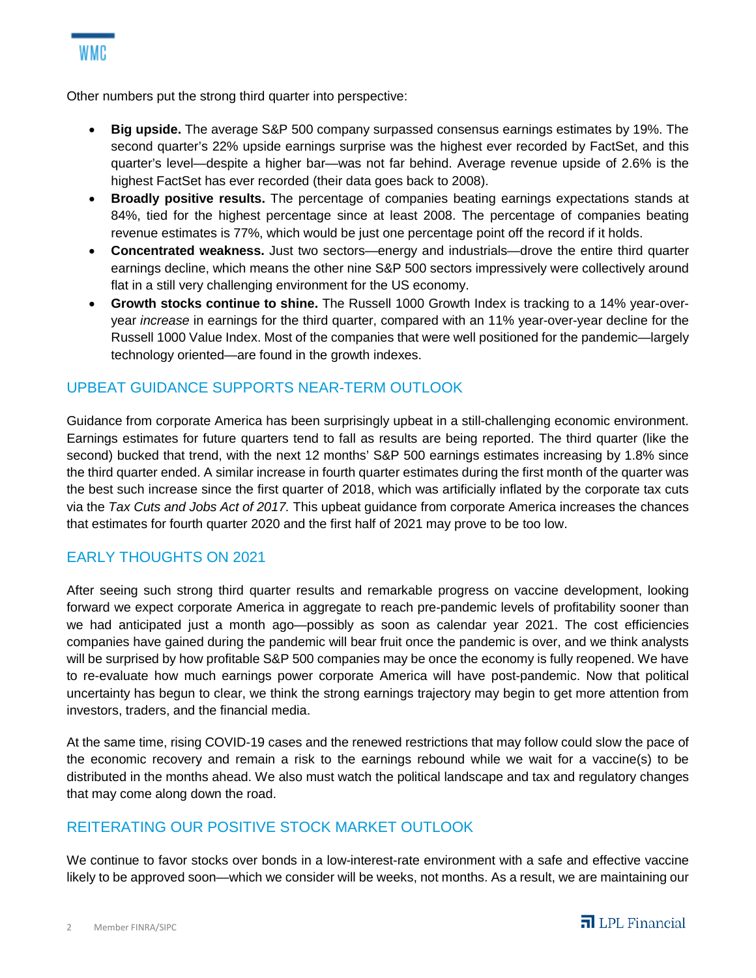

Other numbers put the strong third quarter into perspective:

- **Big upside.** The average S&P 500 company surpassed consensus earnings estimates by 19%. The second quarter's 22% upside earnings surprise was the highest ever recorded by FactSet, and this quarter's level—despite a higher bar—was not far behind. Average revenue upside of 2.6% is the highest FactSet has ever recorded (their data goes back to 2008).
- **Broadly positive results.** The percentage of companies beating earnings expectations stands at 84%, tied for the highest percentage since at least 2008. The percentage of companies beating revenue estimates is 77%, which would be just one percentage point off the record if it holds.
- **Concentrated weakness.** Just two sectors—energy and industrials—drove the entire third quarter earnings decline, which means the other nine S&P 500 sectors impressively were collectively around flat in a still very challenging environment for the US economy.
- **Growth stocks continue to shine.** The Russell 1000 Growth Index is tracking to a 14% year-overyear *increase* in earnings for the third quarter, compared with an 11% year-over-year decline for the Russell 1000 Value Index. Most of the companies that were well positioned for the pandemic—largely technology oriented—are found in the growth indexes.

### UPBEAT GUIDANCE SUPPORTS NEAR-TERM OUTLOOK

Guidance from corporate America has been surprisingly upbeat in a still-challenging economic environment. Earnings estimates for future quarters tend to fall as results are being reported. The third quarter (like the second) bucked that trend, with the next 12 months' S&P 500 earnings estimates increasing by 1.8% since the third quarter ended. A similar increase in fourth quarter estimates during the first month of the quarter was the best such increase since the first quarter of 2018, which was artificially inflated by the corporate tax cuts via the *Tax Cuts and Jobs Act of 2017.* This upbeat guidance from corporate America increases the chances that estimates for fourth quarter 2020 and the first half of 2021 may prove to be too low.

### EARLY THOUGHTS ON 2021

After seeing such strong third quarter results and remarkable progress on vaccine development, looking forward we expect corporate America in aggregate to reach pre-pandemic levels of profitability sooner than we had anticipated just a month ago—possibly as soon as calendar year 2021. The cost efficiencies companies have gained during the pandemic will bear fruit once the pandemic is over, and we think analysts will be surprised by how profitable S&P 500 companies may be once the economy is fully reopened. We have to re-evaluate how much earnings power corporate America will have post-pandemic. Now that political uncertainty has begun to clear, we think the strong earnings trajectory may begin to get more attention from investors, traders, and the financial media.

At the same time, rising COVID-19 cases and the renewed restrictions that may follow could slow the pace of the economic recovery and remain a risk to the earnings rebound while we wait for a vaccine(s) to be distributed in the months ahead. We also must watch the political landscape and tax and regulatory changes that may come along down the road.

### REITERATING OUR POSITIVE STOCK MARKET OUTLOOK

We continue to favor stocks over bonds in a low-interest-rate environment with a safe and effective vaccine likely to be approved soon—which we consider will be weeks, not months. As a result, we are maintaining our

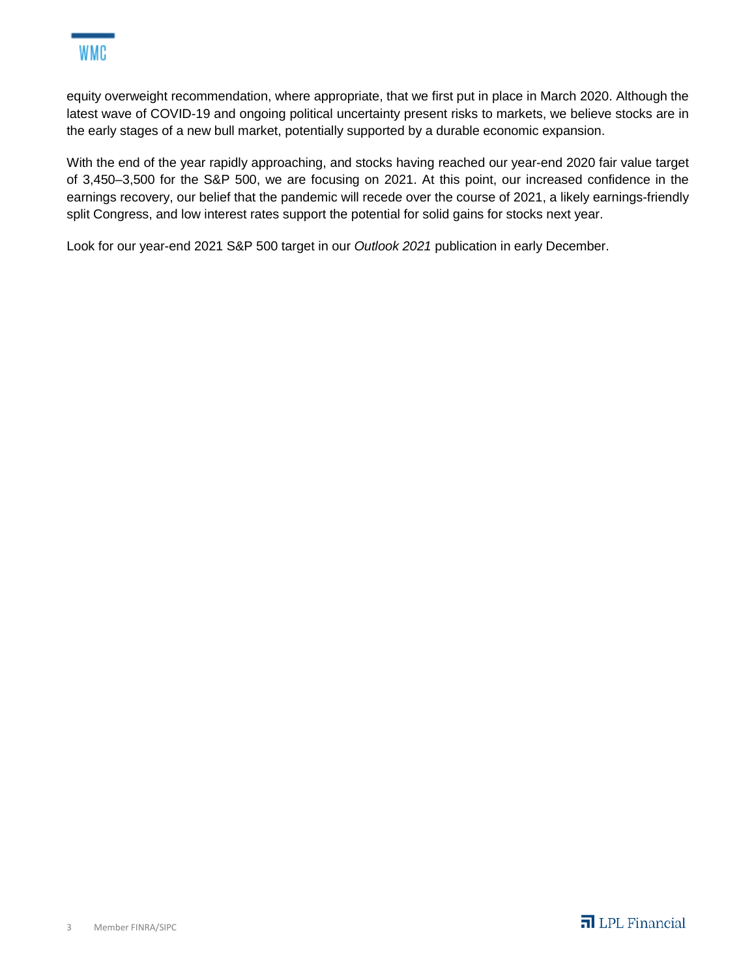

equity overweight recommendation, where appropriate, that we first put in place in March 2020. Although the latest wave of COVID-19 and ongoing political uncertainty present risks to markets, we believe stocks are in the early stages of a new bull market, potentially supported by a durable economic expansion.

With the end of the year rapidly approaching, and stocks having reached our year-end 2020 fair value target of 3,450–3,500 for the S&P 500, we are focusing on 2021. At this point, our increased confidence in the earnings recovery, our belief that the pandemic will recede over the course of 2021, a likely earnings-friendly split Congress, and low interest rates support the potential for solid gains for stocks next year.

Look for our year-end 2021 S&P 500 target in our *Outlook 2021* publication in early December.